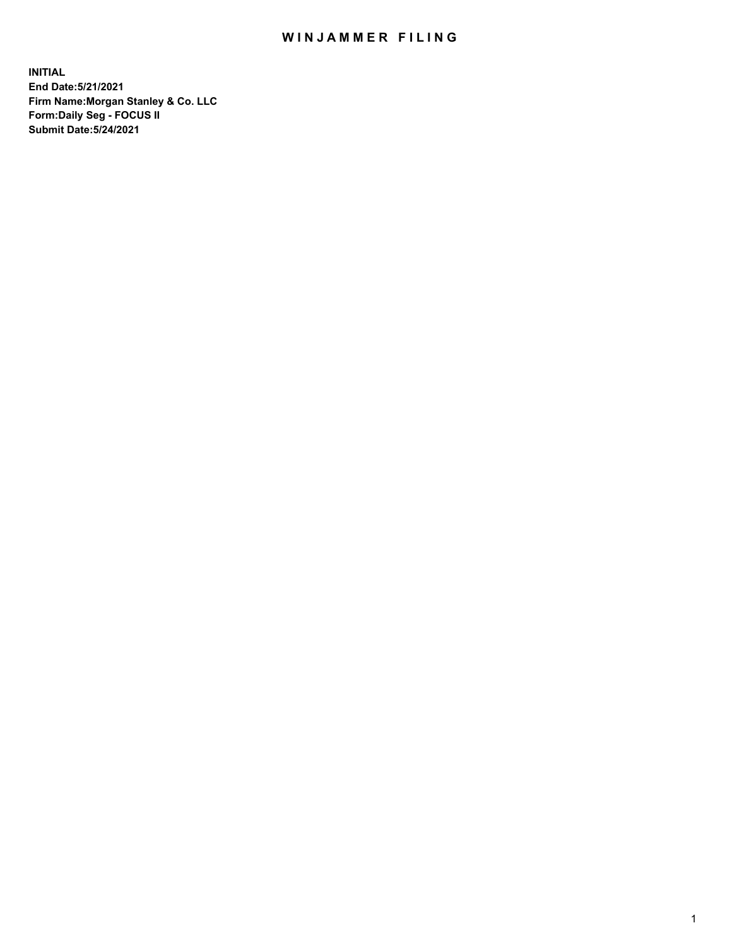## WIN JAMMER FILING

**INITIAL End Date:5/21/2021 Firm Name:Morgan Stanley & Co. LLC Form:Daily Seg - FOCUS II Submit Date:5/24/2021**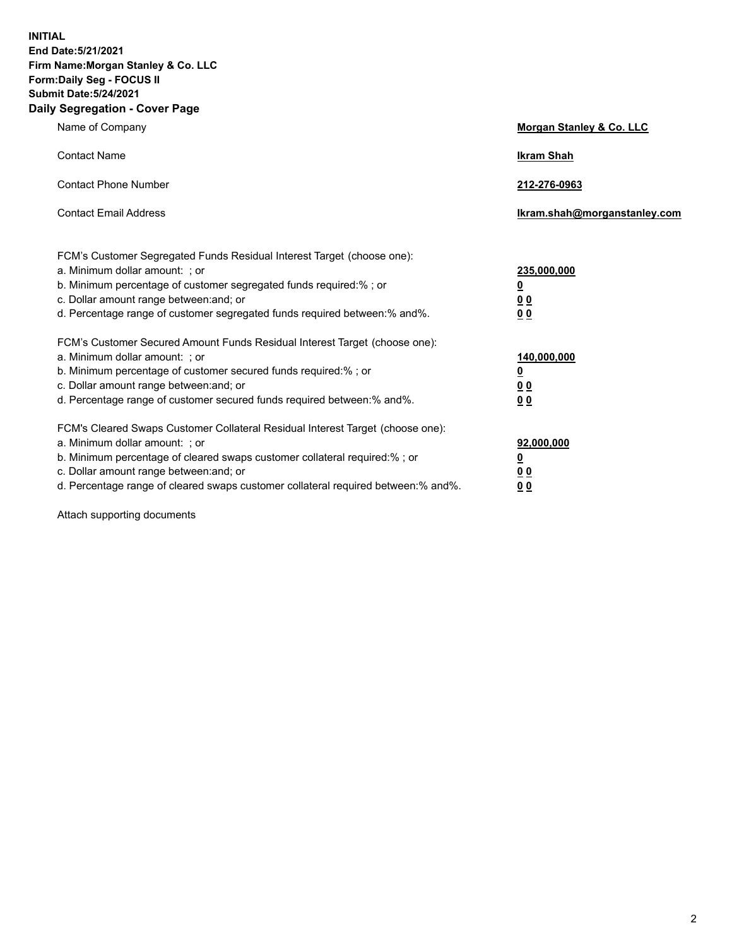**INITIAL End Date:5/21/2021 Firm Name:Morgan Stanley & Co. LLC Form:Daily Seg - FOCUS II Submit Date:5/24/2021 Daily Segregation - Cover Page**

| Name of Company                                                                                                                                                                                                                                                                                                                | Morgan Stanley & Co. LLC                                    |
|--------------------------------------------------------------------------------------------------------------------------------------------------------------------------------------------------------------------------------------------------------------------------------------------------------------------------------|-------------------------------------------------------------|
| <b>Contact Name</b>                                                                                                                                                                                                                                                                                                            | <b>Ikram Shah</b>                                           |
| <b>Contact Phone Number</b>                                                                                                                                                                                                                                                                                                    | 212-276-0963                                                |
| <b>Contact Email Address</b>                                                                                                                                                                                                                                                                                                   | lkram.shah@morganstanley.com                                |
| FCM's Customer Segregated Funds Residual Interest Target (choose one):<br>a. Minimum dollar amount: ; or<br>b. Minimum percentage of customer segregated funds required:% ; or<br>c. Dollar amount range between: and; or<br>d. Percentage range of customer segregated funds required between:% and%.                         | 235,000,000<br><u>0</u><br><u>00</u><br>00                  |
| FCM's Customer Secured Amount Funds Residual Interest Target (choose one):<br>a. Minimum dollar amount: ; or<br>b. Minimum percentage of customer secured funds required:%; or<br>c. Dollar amount range between: and; or<br>d. Percentage range of customer secured funds required between: % and %.                          | 140,000,000<br><u>0</u><br>0 <sub>0</sub><br>0 <sub>0</sub> |
| FCM's Cleared Swaps Customer Collateral Residual Interest Target (choose one):<br>a. Minimum dollar amount: ; or<br>b. Minimum percentage of cleared swaps customer collateral required:% ; or<br>c. Dollar amount range between: and; or<br>d. Percentage range of cleared swaps customer collateral required between:% and%. | 92,000,000<br><u>0</u><br><u>00</u><br>00                   |

Attach supporting documents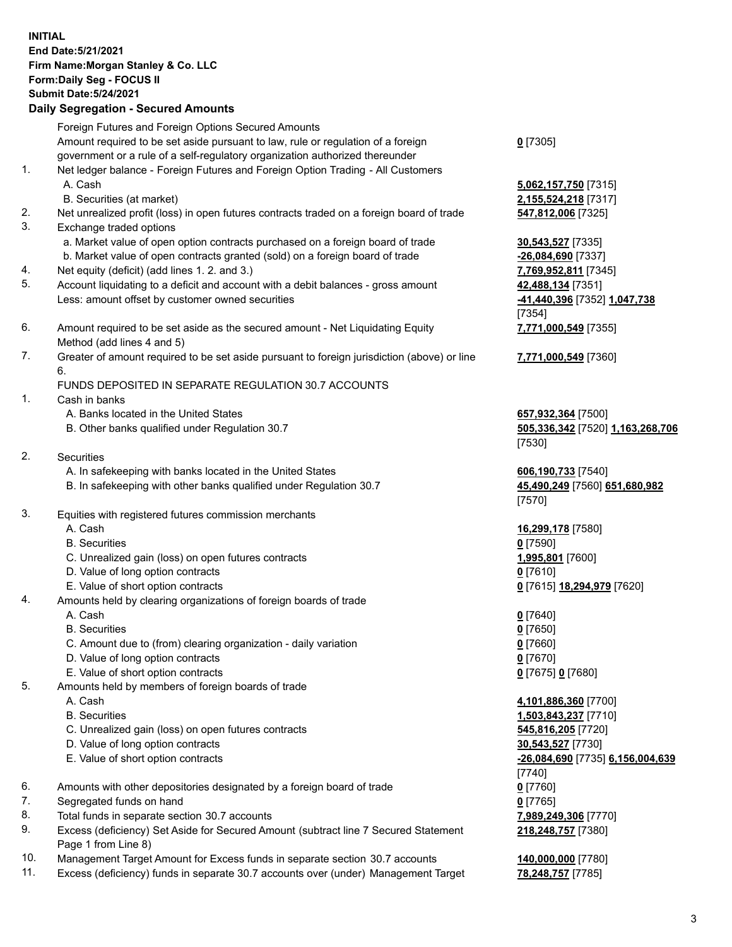## **INITIAL End Date:5/21/2021 Firm Name:Morgan Stanley & Co. LLC Form:Daily Seg - FOCUS II Submit Date:5/24/2021**

## **Daily Segregation - Secured Amounts**

Foreign Futures and Foreign Options Secured Amounts Amount required to be set aside pursuant to law, rule or regulation of a foreign government or a rule of a self-regulatory organization authorized thereunder 1. Net ledger balance - Foreign Futures and Foreign Option Trading - All Customers A. Cash **5,062,157,750** [7315] B. Securities (at market) **2,155,524,218** [7317] 2. Net unrealized profit (loss) in open futures contracts traded on a foreign board of trade **547,812,006** [7325] 3. Exchange traded options a. Market value of open option contracts purchased on a foreign board of trade **30,543,527** [7335] b. Market value of open contracts granted (sold) on a foreign board of trade **-26,084,690** [7337] 4. Net equity (deficit) (add lines 1. 2. and 3.) **7,769,952,811** [7345] 5. Account liquidating to a deficit and account with a debit balances - gross amount **42,488,134** [7351] Less: amount offset by customer owned securities **-41,440,396** [7352] **1,047,738**

- 6. Amount required to be set aside as the secured amount Net Liquidating Equity Method (add lines 4 and 5)
- 7. Greater of amount required to be set aside pursuant to foreign jurisdiction (above) or line 6.

## FUNDS DEPOSITED IN SEPARATE REGULATION 30.7 ACCOUNTS

- 1. Cash in banks
	- A. Banks located in the United States **657,932,364** [7500]
	- B. Other banks qualified under Regulation 30.7 **505,336,342** [7520] **1,163,268,706**
- 2. Securities
	- A. In safekeeping with banks located in the United States **606,190,733** [7540]
	- B. In safekeeping with other banks qualified under Regulation 30.7 **45,490,249** [7560] **651,680,982**
- 3. Equities with registered futures commission merchants
	-
	- B. Securities **0** [7590]
	- C. Unrealized gain (loss) on open futures contracts **1,995,801** [7600]
	- D. Value of long option contracts **0** [7610]
	- E. Value of short option contracts **0** [7615] **18,294,979** [7620]
- 4. Amounts held by clearing organizations of foreign boards of trade
	-
	- B. Securities **0** [7650]
	- C. Amount due to (from) clearing organization daily variation **0** [7660]
	- D. Value of long option contracts **0** [7670]
	- E. Value of short option contracts **0** [7675] **0** [7680]
- 5. Amounts held by members of foreign boards of trade
	-
	-
	- C. Unrealized gain (loss) on open futures contracts **545,816,205** [7720]
	- D. Value of long option contracts **30,543,527** [7730]
	- E. Value of short option contracts **-26,084,690** [7735] **6,156,004,639**
- 6. Amounts with other depositories designated by a foreign board of trade **0** [7760]
- 7. Segregated funds on hand **0** [7765]
- 8. Total funds in separate section 30.7 accounts **7,989,249,306** [7770]
- 9. Excess (deficiency) Set Aside for Secured Amount (subtract line 7 Secured Statement Page 1 from Line 8)
- 10. Management Target Amount for Excess funds in separate section 30.7 accounts **140,000,000** [7780]
- 11. Excess (deficiency) funds in separate 30.7 accounts over (under) Management Target **78,248,757** [7785]

**0** [7305]

[7354] **7,771,000,549** [7355]

**7,771,000,549** [7360]

[7530]

[7570]

A. Cash **16,299,178** [7580]

A. Cash **0** [7640]

 A. Cash **4,101,886,360** [7700] B. Securities **1,503,843,237** [7710] [7740] **218,248,757** [7380]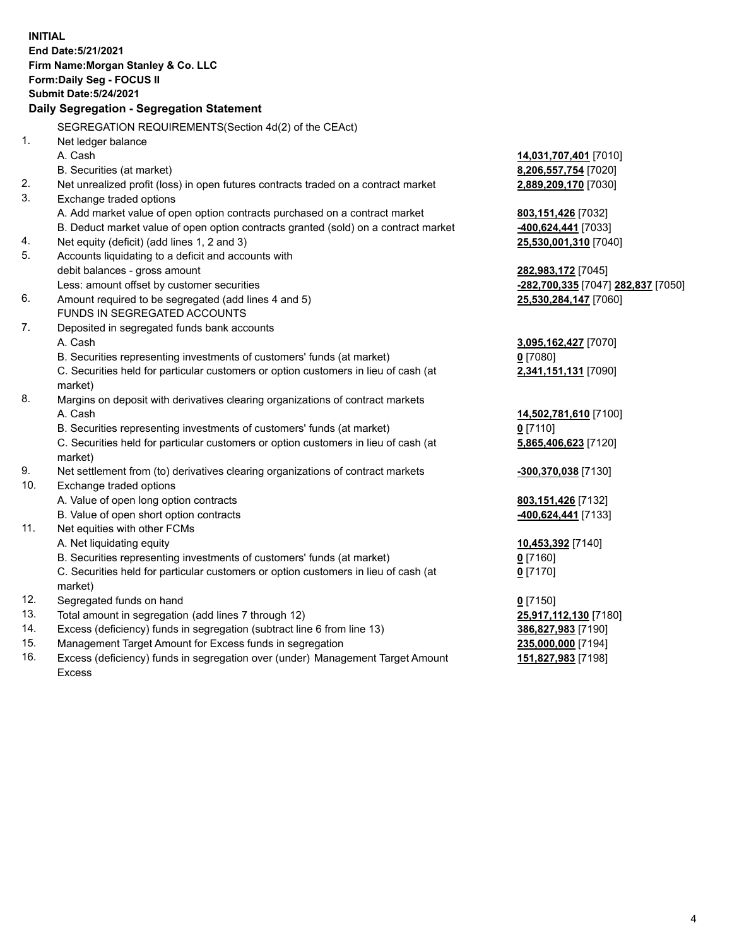**INITIAL End Date:5/21/2021 Firm Name:Morgan Stanley & Co. LLC Form:Daily Seg - FOCUS II Submit Date:5/24/2021 Daily Segregation - Segregation Statement** SEGREGATION REQUIREMENTS(Section 4d(2) of the CEAct) 1. Net ledger balance A. Cash **14,031,707,401** [7010] B. Securities (at market) **8,206,557,754** [7020] 2. Net unrealized profit (loss) in open futures contracts traded on a contract market **2,889,209,170** [7030] 3. Exchange traded options A. Add market value of open option contracts purchased on a contract market **803,151,426** [7032] B. Deduct market value of open option contracts granted (sold) on a contract market **-400,624,441** [7033] 4. Net equity (deficit) (add lines 1, 2 and 3) **25,530,001,310** [7040] 5. Accounts liquidating to a deficit and accounts with debit balances - gross amount **282,983,172** [7045] Less: amount offset by customer securities **-282,700,335** [7047] **282,837** [7050] 6. Amount required to be segregated (add lines 4 and 5) **25,530,284,147** [7060] FUNDS IN SEGREGATED ACCOUNTS 7. Deposited in segregated funds bank accounts A. Cash **3,095,162,427** [7070] B. Securities representing investments of customers' funds (at market) **0** [7080] C. Securities held for particular customers or option customers in lieu of cash (at market) **2,341,151,131** [7090] 8. Margins on deposit with derivatives clearing organizations of contract markets A. Cash **14,502,781,610** [7100] B. Securities representing investments of customers' funds (at market) **0** [7110] C. Securities held for particular customers or option customers in lieu of cash (at market) **5,865,406,623** [7120] 9. Net settlement from (to) derivatives clearing organizations of contract markets **-300,370,038** [7130] 10. Exchange traded options A. Value of open long option contracts **803,151,426** [7132] B. Value of open short option contracts **-400,624,441** [7133] 11. Net equities with other FCMs A. Net liquidating equity **10,453,392** [7140] B. Securities representing investments of customers' funds (at market) **0** [7160] C. Securities held for particular customers or option customers in lieu of cash (at market) **0** [7170] 12. Segregated funds on hand **0** [7150] 13. Total amount in segregation (add lines 7 through 12) **25,917,112,130** [7180] 14. Excess (deficiency) funds in segregation (subtract line 6 from line 13) **386,827,983** [7190] 15. Management Target Amount for Excess funds in segregation **235,000,000** [7194]

16. Excess (deficiency) funds in segregation over (under) Management Target Amount Excess

**151,827,983** [7198]